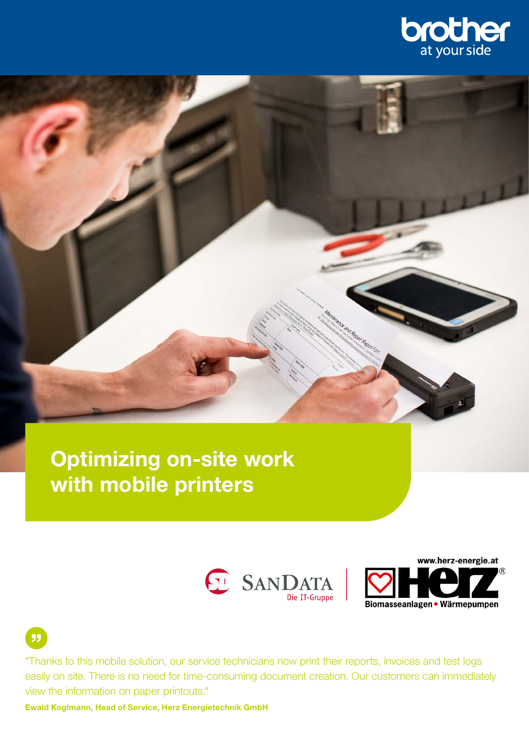

# Optimizing on-site work with mobile printers





"Thanks to this mobile solution, our service technicians now print their reports, invoices and test logs easily on site. There is no need for time-consuming document creation. Our customers can immediately view the information on paper printouts."

Ewald Koglmann, Head of Service, Herz Energietechnik GmbH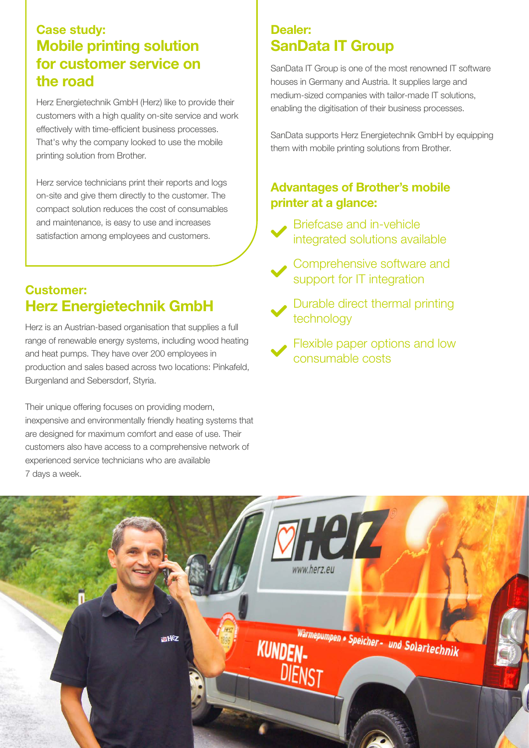#### Case study: Mobile printing solution for customer service on the road

Herz Energietechnik GmbH (Herz) like to provide their customers with a high quality on-site service and work effectively with time-efficient business processes. That's why the company looked to use the mobile printing solution from Brother.

Herz service technicians print their reports and logs on-site and give them directly to the customer. The compact solution reduces the cost of consumables and maintenance, is easy to use and increases satisfaction among employees and customers.

### Customer: Herz Energietechnik GmbH

Herz is an Austrian-based organisation that supplies a full range of renewable energy systems, including wood heating and heat pumps. They have over 200 employees in production and sales based across two locations: Pinkafeld, Burgenland and Sebersdorf, Styria.

Their unique offering focuses on providing modern, inexpensive and environmentally friendly heating systems that are designed for maximum comfort and ease of use. Their customers also have access to a comprehensive network of experienced service technicians who are available 7 days a week.

## Dealer: SanData IT Group

SanData IT Group is one of the most renowned IT software houses in Germany and Austria. It supplies large and medium-sized companies with tailor-made IT solutions, enabling the digitisation of their business processes.

SanData supports Herz Energietechnik GmbH by equipping them with mobile printing solutions from Brother.

#### Advantages of Brother's mobile printer at a glance:



Briefcase and in-vehicle integrated solutions available

Comprehensive software and support for IT integration

Durable direct thermal printing technology

Flexible paper options and low consumable costs

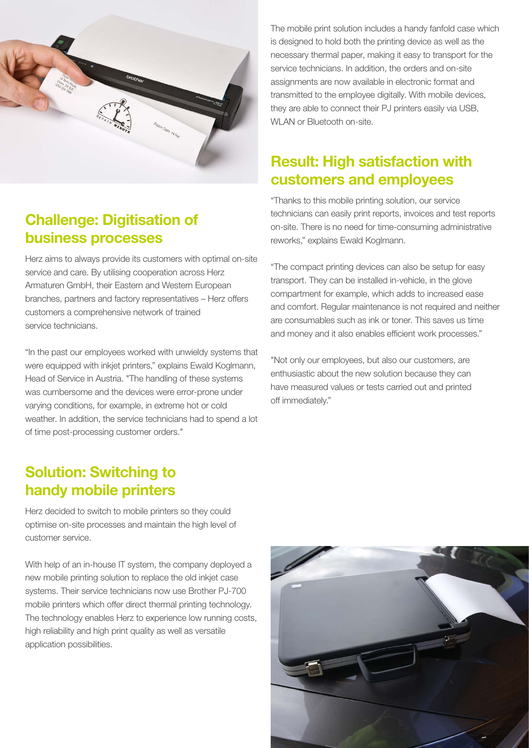

# **Challenge: Digitisation of** business processes

Herz aims to always provide its customers with optimal on-site service and care. By utilising cooperation across Herz Armaturen GmbH, their Eastern and Western European branches, partners and factory representatives – Herz offers customers a comprehensive network of trained service technicians.

"In the past our employees worked with unwieldy systems that were equipped with inkiet printers," explains Ewald Koglmann, Head of Service in Austria. "The handling of these systems was cumbersome and the devices were error-prone under varying conditions, for example, in extreme hot or cold weather. In addition, the service technicians had to spend a lot of time post-processing customer orders."

#### The mobile print solution includes a handy fanfold case which is designed to hold both the printing device as well as the necessary thermal paper, making it easy to transport for the service technicians. In addition, the orders and on-site assignments are now available in electronic format and transmitted to the employee digitally. With mobile devices, they are able to connect their PJ printers easily via USB, WI AN or Bluetooth on-site.

# Result: High satisfaction with customers and employees

"Thanks to this mobile printing solution, our service technicians can easily print reports, invoices and test reports on-site. There is no need for time-consuming administrative reworks," explains Ewald Koglmann.

"The compact printing devices can also be setup for easy transport. They can be installed in-vehicle, in the glove compartment for example, which adds to increased ease and comfort. Regular maintenance is not required and neither are consumables such as ink or toner. This saves us time and money and it also enables efficient work processes."

"Not only our employees, but also our customers, are enthusiastic about the new solution because they can have measured values or tests carried out and printed off immediately."

# Solution: Switching to handy mobile printers

Herz decided to switch to mobile printers so they could optimise on-site processes and maintain the high level of customer service.

With help of an in-house IT system, the company deployed a new mobile printing solution to replace the old inkjet case systems. Their service technicians now use Brother PJ-700 mobile printers which offer direct thermal printing technology. The technology enables Herz to experience low running costs, high reliability and high print quality as well as versatile application possibilities.